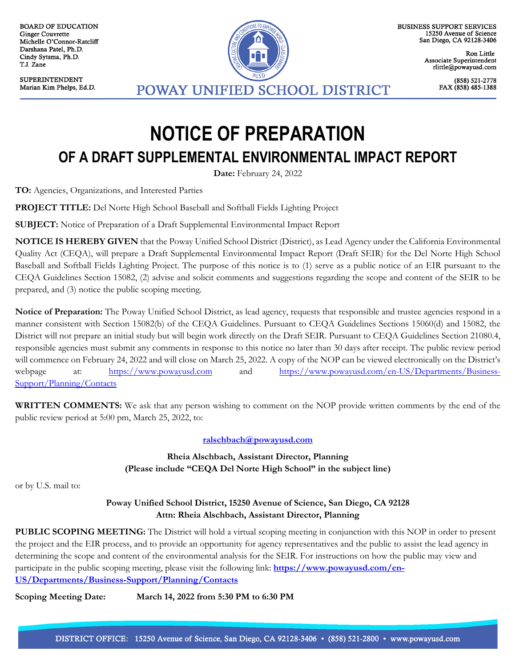**BOARD OF EDUCATION Ginger Couvrette** Michelle O'Connor-Ratcliff Darshana Patel, Ph.D. Cindy Sytsma, Ph.D. T.J. Zane

**SUPERINTENDENT** Marian Kim Phelps, Ed.D.



**BUSINESS SUPPORT SERVICES** 15250 Avenue of Science San Diego, CA 92128-3406

> Ron Little Associate Superintendent rlittle@powayusd.com

> > (858) 521-2778 FAX (858) 485-1388

## **NOTICE OF PREPARATION OF A DRAFT SUPPLEMENTAL ENVIRONMENTAL IMPACT REPORT**

**Date:** February 24, 2022

**TO:** Agencies, Organizations, and Interested Parties

**PROJECT TITLE:** Del Norte High School Baseball and Softball Fields Lighting Project

**SUBJECT:** Notice of Preparation of a Draft Supplemental Environmental Impact Report

**NOTICE IS HEREBY GIVEN** that the Poway Unified School District (District), as Lead Agency under the California Environmental Quality Act (CEQA), will prepare a Draft Supplemental Environmental Impact Report (Draft SEIR) for the Del Norte High School Baseball and Softball Fields Lighting Project. The purpose of this notice is to (1) serve as a public notice of an EIR pursuant to the CEQA Guidelines Section 15082, (2) advise and solicit comments and suggestions regarding the scope and content of the SEIR to be prepared, and (3) notice the public scoping meeting.

**Notice of Preparation:** The Poway Unified School District, as lead agency, requests that responsible and trustee agencies respond in a manner consistent with Section 15082(b) of the CEQA Guidelines. Pursuant to CEQA Guidelines Sections 15060(d) and 15082, the District will not prepare an initial study but will begin work directly on the Draft SEIR. Pursuant to CEQA Guidelines Section 21080.4, responsible agencies must submit any comments in response to this notice no later than 30 days after receipt. The public review period will commence on February 24, 2022 and will close on March 25, 2022. A copy of the NOP can be viewed electronically on the District's webpage at: [https://www.powayusd.com](https://www.powayusd.com/) and [https://www.powayusd.com/en-US/Departments/Business-](https://www.powayusd.com/en-US/Departments/Business-Support/Planning/Contacts)[Support/Planning/Contacts](https://www.powayusd.com/en-US/Departments/Business-Support/Planning/Contacts)

**WRITTEN COMMENTS:** We ask that any person wishing to comment on the NOP provide written comments by the end of the public review period at 5:00 pm, March 25, 2022, to:

## **[ralschbach@powayusd.com](mailto:ralschbach@powayusd.com)**

**Rheia Alschbach, Assistant Director, Planning (Please include "CEQA Del Norte High School" in the subject line)**

or by U.S. mail to:

## **Poway Unified School District, 15250 Avenue of Science, San Diego, CA 92128 Attn: Rheia Alschbach, Assistant Director, Planning**

**PUBLIC SCOPING MEETING:** The District will hold a virtual scoping meeting in conjunction with this NOP in order to present the project and the EIR process, and to provide an opportunity for agency representatives and the public to assist the lead agency in determining the scope and content of the environmental analysis for the SEIR. For instructions on how the public may view and participate in the public scoping meeting, please visit the following link: **[https://www.powayusd.com/en-](https://www.powayusd.com/en-US/Departments/Business-Support/Planning/Contacts)[US/Departments/Business-Support/Planning/Contacts](https://www.powayusd.com/en-US/Departments/Business-Support/Planning/Contacts)**

**Scoping Meeting Date: March 14, 2022 from 5:30 PM to 6:30 PM**